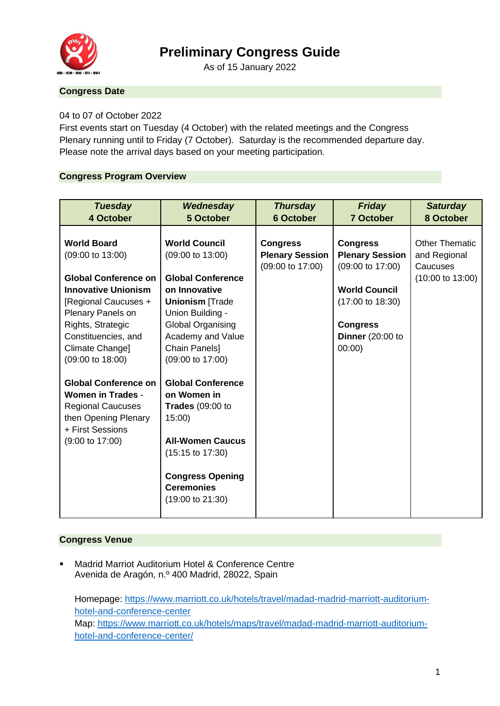

# **Preliminary Congress Guide**

As of 15 January 2022

# **Congress Date**

## 04 to 07 of October 2022

First events start on Tuesday (4 October) with the related meetings and the Congress Plenary running until to Friday (7 October). Saturday is the recommended departure day. Please note the arrival days based on your meeting participation.

#### **Congress Program Overview**

| <b>Tuesday</b><br>4 October                                                                                                                                                               | Wednesday<br>5 October                                                                                                                                                                                          | <b>Thursday</b><br><b>6 October</b>                           | Friday<br><b>7 October</b>                                                                                 | <b>Saturday</b><br>8 October                      |
|-------------------------------------------------------------------------------------------------------------------------------------------------------------------------------------------|-----------------------------------------------------------------------------------------------------------------------------------------------------------------------------------------------------------------|---------------------------------------------------------------|------------------------------------------------------------------------------------------------------------|---------------------------------------------------|
| <b>World Board</b><br>(09:00 to 13:00)                                                                                                                                                    | <b>World Council</b><br>(09:00 to 13:00)                                                                                                                                                                        | <b>Congress</b><br><b>Plenary Session</b><br>(09:00 to 17:00) | <b>Congress</b><br><b>Plenary Session</b><br>(09:00 to 17:00)                                              | <b>Other Thematic</b><br>and Regional<br>Caucuses |
| <b>Global Conference on</b><br><b>Innovative Unionism</b><br>[Regional Caucuses +<br>Plenary Panels on<br>Rights, Strategic<br>Constituencies, and<br>Climate Change]<br>(09:00 to 18:00) | <b>Global Conference</b><br>on Innovative<br><b>Unionism [Trade</b><br>Union Building -<br>Global Organising<br>Academy and Value<br>Chain Panels]<br>(09:00 to 17:00)                                          |                                                               | <b>World Council</b><br>$(17:00 \text{ to } 18:30)$<br><b>Congress</b><br><b>Dinner</b> (20:00 to<br>00:00 | $(10:00 \text{ to } 13:00)$                       |
| <b>Global Conference on</b><br><b>Women in Trades -</b><br><b>Regional Caucuses</b><br>then Opening Plenary<br>+ First Sessions<br>$(9:00 \text{ to } 17:00)$                             | <b>Global Conference</b><br>on Women in<br>Trades $(09:00$ to<br>15:00<br><b>All-Women Caucus</b><br>$(15:15 \text{ to } 17:30)$<br><b>Congress Opening</b><br><b>Ceremonies</b><br>$(19:00 \text{ to } 21:30)$ |                                                               |                                                                                                            |                                                   |

## **Congress Venue**

Madrid Marriot Auditorium Hotel & Conference Centre Avenida de Aragón, n.º 400 Madrid, 28022, Spain

Homepage: [https://www.marriott.co.uk/hotels/travel/madad-madrid-marriott-auditorium](https://www.marriott.co.uk/hotels/travel/madad-madrid-marriott-auditorium-hotel-and-conference-center)[hotel-and-conference-center](https://www.marriott.co.uk/hotels/travel/madad-madrid-marriott-auditorium-hotel-and-conference-center) Map: [https://www.marriott.co.uk/hotels/maps/travel/madad-madrid-marriott-auditorium](https://www.marriott.co.uk/hotels/maps/travel/madad-madrid-marriott-auditorium-hotel-and-conference-center/)[hotel-and-conference-center/](https://www.marriott.co.uk/hotels/maps/travel/madad-madrid-marriott-auditorium-hotel-and-conference-center/)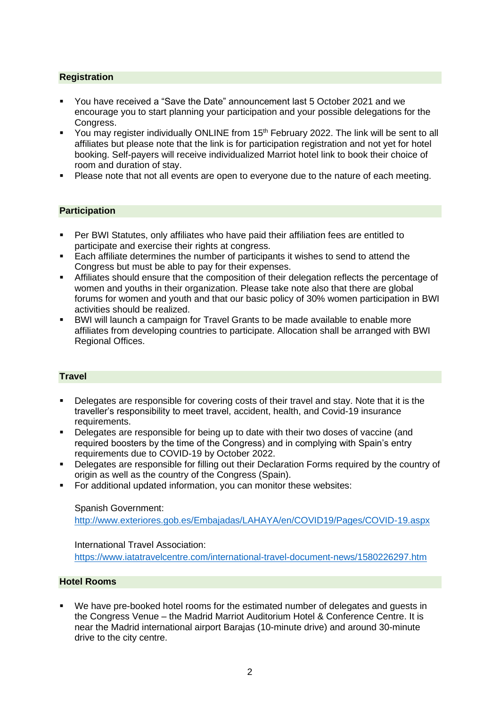# **Registration**

- You have received a "Save the Date" announcement last 5 October 2021 and we encourage you to start planning your participation and your possible delegations for the Congress.
- You may register individually ONLINE from 15<sup>th</sup> February 2022. The link will be sent to all affiliates but please note that the link is for participation registration and not yet for hotel booking. Self-payers will receive individualized Marriot hotel link to book their choice of room and duration of stay.
- Please note that not all events are open to everyone due to the nature of each meeting.

## **Participation**

- Per BWI Statutes, only affiliates who have paid their affiliation fees are entitled to participate and exercise their rights at congress.
- Each affiliate determines the number of participants it wishes to send to attend the Congress but must be able to pay for their expenses.
- Affiliates should ensure that the composition of their delegation reflects the percentage of women and youths in their organization. Please take note also that there are global forums for women and youth and that our basic policy of 30% women participation in BWI activities should be realized.
- BWI will launch a campaign for Travel Grants to be made available to enable more affiliates from developing countries to participate. Allocation shall be arranged with BWI Regional Offices.

#### **Travel**

- Delegates are responsible for covering costs of their travel and stay. Note that it is the traveller's responsibility to meet travel, accident, health, and Covid-19 insurance requirements.
- Delegates are responsible for being up to date with their two doses of vaccine (and required boosters by the time of the Congress) and in complying with Spain's entry requirements due to COVID-19 by October 2022.
- Delegates are responsible for filling out their Declaration Forms required by the country of origin as well as the country of the Congress (Spain).
- For additional updated information, you can monitor these websites:

## Spanish Government:

<http://www.exteriores.gob.es/Embajadas/LAHAYA/en/COVID19/Pages/COVID-19.aspx>

International Travel Association: <https://www.iatatravelcentre.com/international-travel-document-news/1580226297.htm>

#### **Hotel Rooms**

We have pre-booked hotel rooms for the estimated number of delegates and quests in the Congress Venue – the Madrid Marriot Auditorium Hotel & Conference Centre. It is near the Madrid international airport Barajas (10-minute drive) and around 30-minute drive to the city centre.